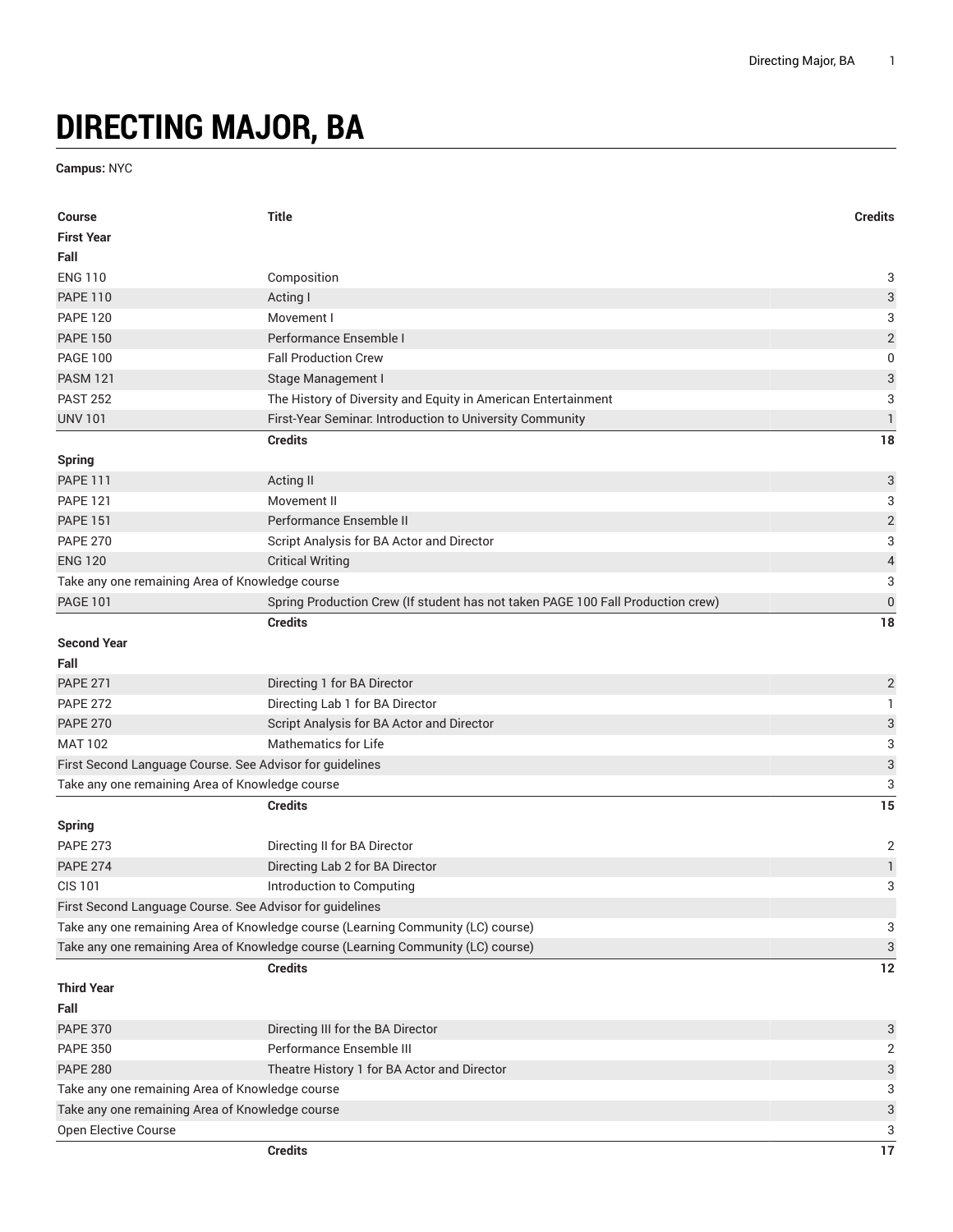## **DIRECTING MAJOR, BA**

**Campus:** NYC

| <b>Course</b>                                            | <b>Title</b>                                                                     | <b>Credits</b>            |
|----------------------------------------------------------|----------------------------------------------------------------------------------|---------------------------|
| <b>First Year</b>                                        |                                                                                  |                           |
| Fall                                                     |                                                                                  |                           |
| <b>ENG 110</b>                                           | Composition                                                                      | 3                         |
| <b>PAPE 110</b>                                          | Acting I                                                                         | $\ensuremath{\mathsf{3}}$ |
| <b>PAPE 120</b>                                          | Movement I                                                                       | 3                         |
| <b>PAPE 150</b>                                          | Performance Ensemble I                                                           | $\overline{\mathbf{c}}$   |
| <b>PAGE 100</b>                                          | <b>Fall Production Crew</b>                                                      | $\mathbf 0$               |
| <b>PASM 121</b>                                          | Stage Management I                                                               | $\ensuremath{\mathsf{3}}$ |
| <b>PAST 252</b>                                          | The History of Diversity and Equity in American Entertainment                    | 3                         |
| <b>UNV 101</b>                                           | First-Year Seminar. Introduction to University Community                         | $\mathbbm{1}$             |
|                                                          | <b>Credits</b>                                                                   | 18                        |
| <b>Spring</b>                                            |                                                                                  |                           |
| <b>PAPE 111</b>                                          | Acting II                                                                        | $\ensuremath{\mathsf{3}}$ |
| <b>PAPE 121</b>                                          | Movement II                                                                      | 3                         |
| <b>PAPE 151</b>                                          | Performance Ensemble II                                                          | $\sqrt{2}$                |
| <b>PAPE 270</b>                                          | Script Analysis for BA Actor and Director                                        | $\sqrt{3}$                |
| <b>ENG 120</b>                                           | <b>Critical Writing</b>                                                          | $\overline{\mathcal{L}}$  |
| Take any one remaining Area of Knowledge course          |                                                                                  | 3                         |
| <b>PAGE 101</b>                                          | Spring Production Crew (If student has not taken PAGE 100 Fall Production crew)  | $\mathbf 0$               |
|                                                          | <b>Credits</b>                                                                   | 18                        |
| <b>Second Year</b>                                       |                                                                                  |                           |
| Fall                                                     |                                                                                  |                           |
| <b>PAPE 271</b>                                          | Directing 1 for BA Director                                                      | $\overline{2}$            |
| <b>PAPE 272</b>                                          | Directing Lab 1 for BA Director                                                  | 1                         |
| <b>PAPE 270</b>                                          | Script Analysis for BA Actor and Director                                        | $\ensuremath{\mathsf{3}}$ |
| <b>MAT 102</b>                                           | <b>Mathematics for Life</b>                                                      | 3                         |
| First Second Language Course. See Advisor for guidelines |                                                                                  | $\ensuremath{\mathsf{3}}$ |
| Take any one remaining Area of Knowledge course          |                                                                                  | 3                         |
|                                                          | <b>Credits</b>                                                                   | 15                        |
| <b>Spring</b>                                            |                                                                                  |                           |
| <b>PAPE 273</b>                                          | Directing II for BA Director                                                     | $\overline{2}$            |
| <b>PAPE 274</b>                                          | Directing Lab 2 for BA Director                                                  | $\mathbbm{1}$             |
| <b>CIS 101</b>                                           | Introduction to Computing                                                        | 3                         |
| First Second Language Course. See Advisor for guidelines |                                                                                  |                           |
|                                                          | Take any one remaining Area of Knowledge course (Learning Community (LC) course) | 3                         |
|                                                          | Take any one remaining Area of Knowledge course (Learning Community (LC) course) | 3                         |
|                                                          | <b>Credits</b>                                                                   | 12                        |
| <b>Third Year</b>                                        |                                                                                  |                           |
| Fall                                                     |                                                                                  |                           |
| <b>PAPE 370</b>                                          | Directing III for the BA Director                                                | 3                         |
| <b>PAPE 350</b>                                          | Performance Ensemble III                                                         | $\overline{2}$            |
| <b>PAPE 280</b>                                          | Theatre History 1 for BA Actor and Director                                      | $\sqrt{3}$                |
| Take any one remaining Area of Knowledge course          |                                                                                  | 3                         |
| Take any one remaining Area of Knowledge course          |                                                                                  | $\ensuremath{\mathsf{3}}$ |
| Open Elective Course                                     |                                                                                  | 3                         |
|                                                          | <b>Credits</b>                                                                   | 17                        |